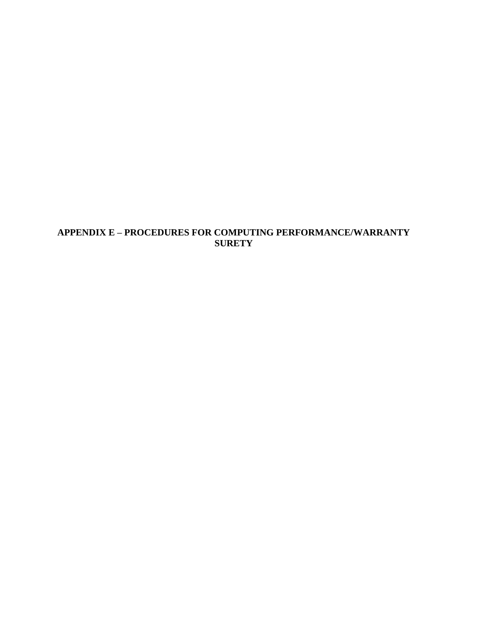# **APPENDIX E – PROCEDURES FOR COMPUTING PERFORMANCE/WARRANTY SURETY**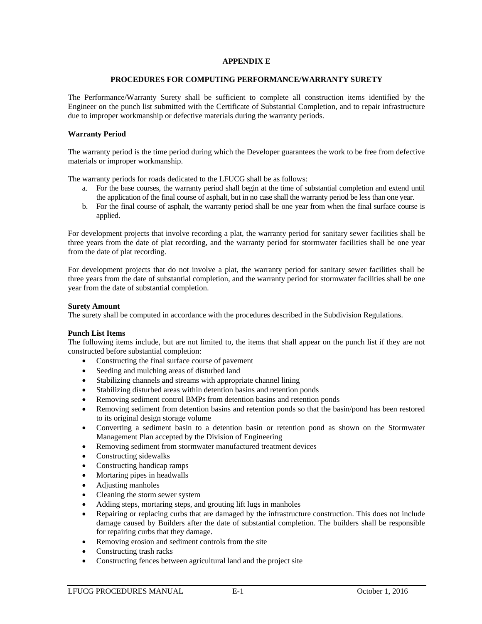## **APPENDIX E**

#### **PROCEDURES FOR COMPUTING PERFORMANCE/WARRANTY SURETY**

The Performance/Warranty Surety shall be sufficient to complete all construction items identified by the Engineer on the punch list submitted with the Certificate of Substantial Completion, and to repair infrastructure due to improper workmanship or defective materials during the warranty periods.

### **Warranty Period**

The warranty period is the time period during which the Developer guarantees the work to be free from defective materials or improper workmanship.

The warranty periods for roads dedicated to the LFUCG shall be as follows:

- a. For the base courses, the warranty period shall begin at the time of substantial completion and extend until the application of the final course of asphalt, but in no case shall the warranty period be less than one year.
- b. For the final course of asphalt, the warranty period shall be one year from when the final surface course is applied.

For development projects that involve recording a plat, the warranty period for sanitary sewer facilities shall be three years from the date of plat recording, and the warranty period for stormwater facilities shall be one year from the date of plat recording.

For development projects that do not involve a plat, the warranty period for sanitary sewer facilities shall be three years from the date of substantial completion, and the warranty period for stormwater facilities shall be one year from the date of substantial completion.

### **Surety Amount**

The surety shall be computed in accordance with the procedures described in the Subdivision Regulations.

#### **Punch List Items**

The following items include, but are not limited to, the items that shall appear on the punch list if they are not constructed before substantial completion:

- Constructing the final surface course of pavement
- Seeding and mulching areas of disturbed land
- Stabilizing channels and streams with appropriate channel lining
- Stabilizing disturbed areas within detention basins and retention ponds
- Removing sediment control BMPs from detention basins and retention ponds
- Removing sediment from detention basins and retention ponds so that the basin/pond has been restored to its original design storage volume
- Converting a sediment basin to a detention basin or retention pond as shown on the Stormwater Management Plan accepted by the Division of Engineering
- Removing sediment from stormwater manufactured treatment devices
- Constructing sidewalks
- Constructing handicap ramps
- Mortaring pipes in headwalls
- Adjusting manholes
- Cleaning the storm sewer system
- Adding steps, mortaring steps, and grouting lift lugs in manholes
- Repairing or replacing curbs that are damaged by the infrastructure construction. This does not include damage caused by Builders after the date of substantial completion. The builders shall be responsible for repairing curbs that they damage.
- Removing erosion and sediment controls from the site
- Constructing trash racks
- Constructing fences between agricultural land and the project site